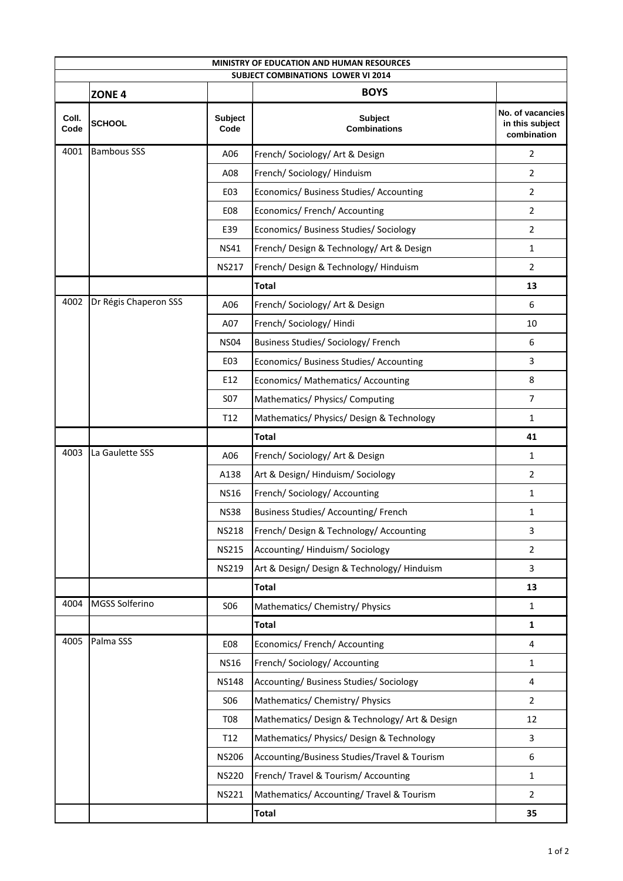| <b>MINISTRY OF EDUCATION AND HUMAN RESOURCES</b> |                       |                        |                                                |                                                    |  |  |  |
|--------------------------------------------------|-----------------------|------------------------|------------------------------------------------|----------------------------------------------------|--|--|--|
| <b>SUBJECT COMBINATIONS LOWER VI 2014</b>        |                       |                        |                                                |                                                    |  |  |  |
|                                                  | ZONE <sub>4</sub>     |                        | <b>BOYS</b>                                    |                                                    |  |  |  |
| Coll.<br>Code                                    | <b>SCHOOL</b>         | <b>Subject</b><br>Code | Subject<br><b>Combinations</b>                 | No. of vacancies<br>in this subject<br>combination |  |  |  |
| 4001                                             | <b>Bambous SSS</b>    | A06                    | French/ Sociology/ Art & Design                | $\overline{2}$                                     |  |  |  |
|                                                  |                       | A08                    | French/ Sociology/ Hinduism                    | $\overline{2}$                                     |  |  |  |
|                                                  |                       | E03                    | Economics/ Business Studies/ Accounting        | $\overline{2}$                                     |  |  |  |
|                                                  |                       | E08                    | Economics/ French/ Accounting                  | $\overline{2}$                                     |  |  |  |
|                                                  |                       | E39                    | Economics/ Business Studies/ Sociology         | $\overline{2}$                                     |  |  |  |
|                                                  |                       | <b>NS41</b>            | French/ Design & Technology/ Art & Design      | $\mathbf{1}$                                       |  |  |  |
|                                                  |                       | <b>NS217</b>           | French/ Design & Technology/ Hinduism          | $\overline{2}$                                     |  |  |  |
|                                                  |                       |                        | <b>Total</b>                                   | 13                                                 |  |  |  |
| 4002                                             | Dr Régis Chaperon SSS | A06                    | French/ Sociology/ Art & Design                | 6                                                  |  |  |  |
|                                                  |                       | A07                    | French/ Sociology/ Hindi                       | 10                                                 |  |  |  |
|                                                  |                       | <b>NS04</b>            | Business Studies/ Sociology/ French            | 6                                                  |  |  |  |
|                                                  |                       | E03                    | Economics/ Business Studies/ Accounting        | 3                                                  |  |  |  |
|                                                  |                       | E12                    | Economics/ Mathematics/ Accounting             | 8                                                  |  |  |  |
|                                                  |                       | <b>S07</b>             | Mathematics/ Physics/ Computing                | $\overline{7}$                                     |  |  |  |
|                                                  |                       | T <sub>12</sub>        | Mathematics/ Physics/ Design & Technology      | $\mathbf{1}$                                       |  |  |  |
|                                                  |                       |                        | <b>Total</b>                                   | 41                                                 |  |  |  |
| 4003                                             | La Gaulette SSS       | A06                    | French/ Sociology/ Art & Design                | $\mathbf{1}$                                       |  |  |  |
|                                                  |                       | A138                   | Art & Design/Hinduism/Sociology                | $\overline{2}$                                     |  |  |  |
|                                                  |                       | <b>NS16</b>            | French/Sociology/Accounting                    | $\mathbf{1}$                                       |  |  |  |
|                                                  |                       | <b>NS38</b>            | Business Studies/ Accounting/ French           | 1                                                  |  |  |  |
|                                                  |                       | <b>NS218</b>           | French/ Design & Technology/ Accounting        | 3                                                  |  |  |  |
|                                                  |                       | <b>NS215</b>           | Accounting/Hinduism/Sociology                  | $\overline{2}$                                     |  |  |  |
|                                                  |                       | <b>NS219</b>           | Art & Design/ Design & Technology/ Hinduism    | 3                                                  |  |  |  |
|                                                  |                       |                        | <b>Total</b>                                   | 13                                                 |  |  |  |
| 4004                                             | MGSS Solferino        | <b>SO6</b>             | Mathematics/ Chemistry/ Physics                | $\mathbf{1}$                                       |  |  |  |
|                                                  |                       |                        | <b>Total</b>                                   | $\mathbf{1}$                                       |  |  |  |
| 4005                                             | Palma SSS             | E08                    | Economics/ French/ Accounting                  | 4                                                  |  |  |  |
|                                                  |                       | <b>NS16</b>            | French/Sociology/Accounting                    | $\mathbf{1}$                                       |  |  |  |
|                                                  |                       | <b>NS148</b>           | Accounting/ Business Studies/ Sociology        | 4                                                  |  |  |  |
|                                                  |                       | <b>SO6</b>             | Mathematics/ Chemistry/ Physics                | $\overline{2}$                                     |  |  |  |
|                                                  |                       | <b>T08</b>             | Mathematics/ Design & Technology/ Art & Design | 12                                                 |  |  |  |
|                                                  |                       | T12                    | Mathematics/ Physics/ Design & Technology      | 3                                                  |  |  |  |
|                                                  |                       | <b>NS206</b>           | Accounting/Business Studies/Travel & Tourism   | 6                                                  |  |  |  |
|                                                  |                       | <b>NS220</b>           | French/ Travel & Tourism/ Accounting           | $\mathbf{1}$                                       |  |  |  |
|                                                  |                       | <b>NS221</b>           | Mathematics/ Accounting/ Travel & Tourism      | $\overline{2}$                                     |  |  |  |
|                                                  |                       |                        | <b>Total</b>                                   | 35                                                 |  |  |  |